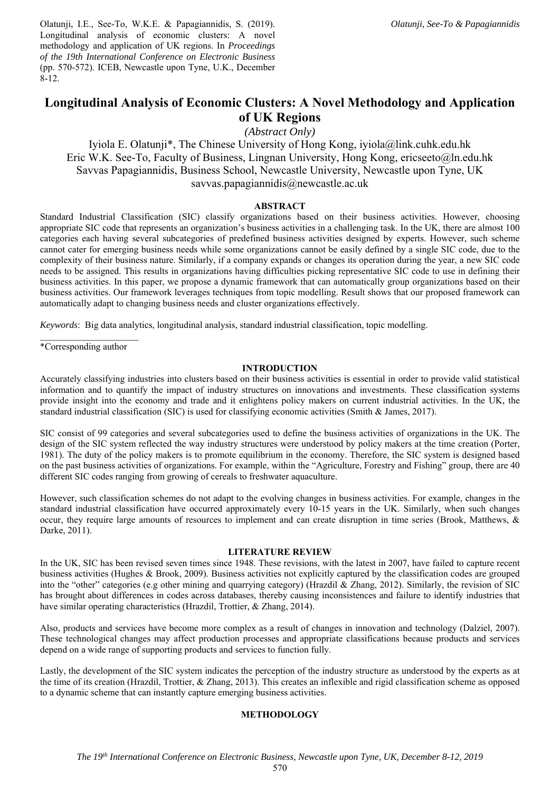Olatunji, I.E., See-To, W.K.E. & Papagiannidis, S. (2019). Longitudinal analysis of economic clusters: A novel methodology and application of UK regions. In *Proceedings of the 19th International Conference on Electronic Business* (pp. 570-572). ICEB, Newcastle upon Tyne, U.K., December 8-12.

# **Longitudinal Analysis of Economic Clusters: A Novel Methodology and Application of UK Regions**

# *(Abstract Only)*

Iyiola E. Olatunji\*, The Chinese University of Hong Kong, iyiola@link.cuhk.edu.hk Eric W.K. See-To, Faculty of Business, Lingnan University, Hong Kong, ericseeto@ln.edu.hk Savvas Papagiannidis, Business School, Newcastle University, Newcastle upon Tyne, UK savvas.papagiannidis@newcastle.ac.uk

## **ABSTRACT**

Standard Industrial Classification (SIC) classify organizations based on their business activities. However, choosing appropriate SIC code that represents an organization's business activities in a challenging task. In the UK, there are almost 100 categories each having several subcategories of predefined business activities designed by experts. However, such scheme cannot cater for emerging business needs while some organizations cannot be easily defined by a single SIC code, due to the complexity of their business nature. Similarly, if a company expands or changes its operation during the year, a new SIC code needs to be assigned. This results in organizations having difficulties picking representative SIC code to use in defining their business activities. In this paper, we propose a dynamic framework that can automatically group organizations based on their business activities. Our framework leverages techniques from topic modelling. Result shows that our proposed framework can automatically adapt to changing business needs and cluster organizations effectively.

*Keywords*: Big data analytics, longitudinal analysis, standard industrial classification, topic modelling.

\*Corresponding author

## **INTRODUCTION**

Accurately classifying industries into clusters based on their business activities is essential in order to provide valid statistical information and to quantify the impact of industry structures on innovations and investments. These classification systems provide insight into the economy and trade and it enlightens policy makers on current industrial activities. In the UK, the standard industrial classification (SIC) is used for classifying economic activities (Smith & James, 2017).

SIC consist of 99 categories and several subcategories used to define the business activities of organizations in the UK. The design of the SIC system reflected the way industry structures were understood by policy makers at the time creation (Porter, 1981). The duty of the policy makers is to promote equilibrium in the economy. Therefore, the SIC system is designed based on the past business activities of organizations. For example, within the "Agriculture, Forestry and Fishing" group, there are 40 different SIC codes ranging from growing of cereals to freshwater aquaculture.

However, such classification schemes do not adapt to the evolving changes in business activities. For example, changes in the standard industrial classification have occurred approximately every 10-15 years in the UK. Similarly, when such changes occur, they require large amounts of resources to implement and can create disruption in time series (Brook, Matthews, & Darke, 2011).

#### **LITERATURE REVIEW**

In the UK, SIC has been revised seven times since 1948. These revisions, with the latest in 2007, have failed to capture recent business activities (Hughes & Brook, 2009). Business activities not explicitly captured by the classification codes are grouped into the "other" categories (e.g other mining and quarrying category) (Hrazdil & Zhang, 2012). Similarly, the revision of SIC has brought about differences in codes across databases, thereby causing inconsistences and failure to identify industries that have similar operating characteristics (Hrazdil, Trottier, & Zhang, 2014).

Also, products and services have become more complex as a result of changes in innovation and technology (Dalziel, 2007). These technological changes may affect production processes and appropriate classifications because products and services depend on a wide range of supporting products and services to function fully.

Lastly, the development of the SIC system indicates the perception of the industry structure as understood by the experts as at the time of its creation (Hrazdil, Trottier, & Zhang, 2013). This creates an inflexible and rigid classification scheme as opposed to a dynamic scheme that can instantly capture emerging business activities.

# **METHODOLOGY**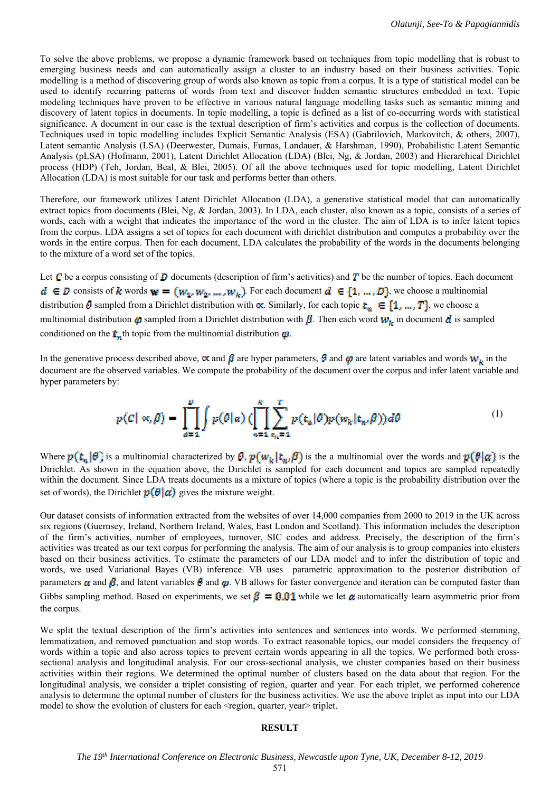To solve the above problems, we propose a dynamic framework based on techniques from topic modelling that is robust to emerging business needs and can automatically assign a cluster to an industry based on their business activities. Topic modelling is a method of discovering group of words also known as topic from a corpus. It is a type of statistical model can be used to identify recurring patterns of words from text and discover hidden semantic structures embedded in text. Topic modeling techniques have proven to be effective in various natural language modelling tasks such as semantic mining and discovery of latent topics in documents. In topic modelling, a topic is defined as a list of co-occurring words with statistical significance. A document in our case is the textual description of firm's activities and corpus is the collection of documents. Techniques used in topic modelling includes Explicit Semantic Analysis (ESA) (Gabrilovich, Markovitch, & others, 2007), Latent semantic Analysis (LSA) (Deerwester, Dumais, Furnas, Landauer, & Harshman, 1990), Probabilistic Latent Semantic Analysis (pLSA) (Hofmann, 2001), Latent Dirichlet Allocation (LDA) (Blei, Ng, & Jordan, 2003) and Hierarchical Dirichlet process (HDP) (Teh, Jordan, Beal, & Blei, 2005). Of all the above techniques used for topic modelling, Latent Dirichlet Allocation (LDA) is most suitable for our task and performs better than others.

Therefore, our framework utilizes Latent Dirichlet Allocation (LDA), a generative statistical model that can automatically extract topics from documents (Blei, Ng, & Jordan, 2003). In LDA, each cluster, also known as a topic, consists of a series of words, each with a weight that indicates the importance of the word in the cluster. The aim of LDA is to infer latent topics from the corpus. LDA assigns a set of topics for each document with dirichlet distribution and computes a probability over the words in the entire corpus. Then for each document, LDA calculates the probability of the words in the documents belonging to the mixture of a word set of the topics.

Let  $\mathcal C$  be a corpus consisting of  $\mathcal D$  documents (description of firm's activities) and  $\mathcal T$  be the number of topics. Each document  $d \in D$  consists of k words  $w = (w_1, w_2, ..., w_k)$ . For each document  $d \in \{1, ..., D\}$ , we choose a multinomial distribution  $\theta$  sampled from a Dirichlet distribution with  $\alpha$ . Similarly, for each topic  $t_n \in \{1, ..., T\}$ , we choose a multinomial distribution  $\phi$  sampled from a Dirichlet distribution with  $\beta$ . Then each word  $w_k$  in document  $d$  is sampled conditioned on the  $t_{\infty}$ <sup>th</sup> topic from the multinomial distribution  $\varphi$ .

In the generative process described above,  $\alpha$  and  $\beta$  are hyper parameters,  $\theta$  and  $\varphi$  are latent variables and words  $w_i$  in the document are the observed variables. We compute the probability of the document over the corpus and infer latent variable and hyper parameters by:

$$
p(C \mid \alpha, \beta) = \prod_{d=1}^p \int p(\theta \mid \alpha) \left( \prod_{n=1}^k \sum_{\epsilon_n = 1}^T p(\mathbf{t}_n | \theta) p(\mathbf{w}_k | \mathbf{t}_n, \beta) \right) d\theta \tag{1}
$$

Where  $p(t_n|\theta)$  is a multinomial characterized by  $\theta$ ,  $p(w_k|t_m|\theta)$  is the a multinomial over the words and  $p(\theta|\alpha)$  is the Dirichlet. As shown in the equation above, the Dirichlet is sampled for each document and topics are sampled repeatedly within the document. Since LDA treats documents as a mixture of topics (where a topic is the probability distribution over the set of words), the Dirichlet  $p(\theta|\alpha)$  gives the mixture weight.

Our dataset consists of information extracted from the websites of over 14,000 companies from 2000 to 2019 in the UK across six regions (Guernsey, Ireland, Northern Ireland, Wales, East London and Scotland). This information includes the description of the firm's activities, number of employees, turnover, SIC codes and address. Precisely, the description of the firm's activities was treated as our text corpus for performing the analysis. The aim of our analysis is to group companies into clusters based on their business activities. To estimate the parameters of our LDA model and to infer the distribution of topic and words, we used Variational Bayes (VB) inference. VB uses parametric approximation to the posterior distribution of parameters  $\alpha$  and  $\beta$ , and latent variables  $\theta$  and  $\alpha$ . VB allows for faster convergence and iteration can be computed faster than Gibbs sampling method. Based on experiments, we set  $\beta = 0.01$  while we let  $\alpha$  automatically learn asymmetric prior from the corpus.

We split the textual description of the firm's activities into sentences and sentences into words. We performed stemming, lemmatization, and removed punctuation and stop words. To extract reasonable topics, our model considers the frequency of words within a topic and also across topics to prevent certain words appearing in all the topics. We performed both crosssectional analysis and longitudinal analysis. For our cross-sectional analysis, we cluster companies based on their business activities within their regions. We determined the optimal number of clusters based on the data about that region. For the longitudinal analysis, we consider a triplet consisting of region, quarter and year. For each triplet, we performed coherence analysis to determine the optimal number of clusters for the business activities. We use the above triplet as input into our LDA model to show the evolution of clusters for each <region, quarter, year> triplet.

#### **RESULT**